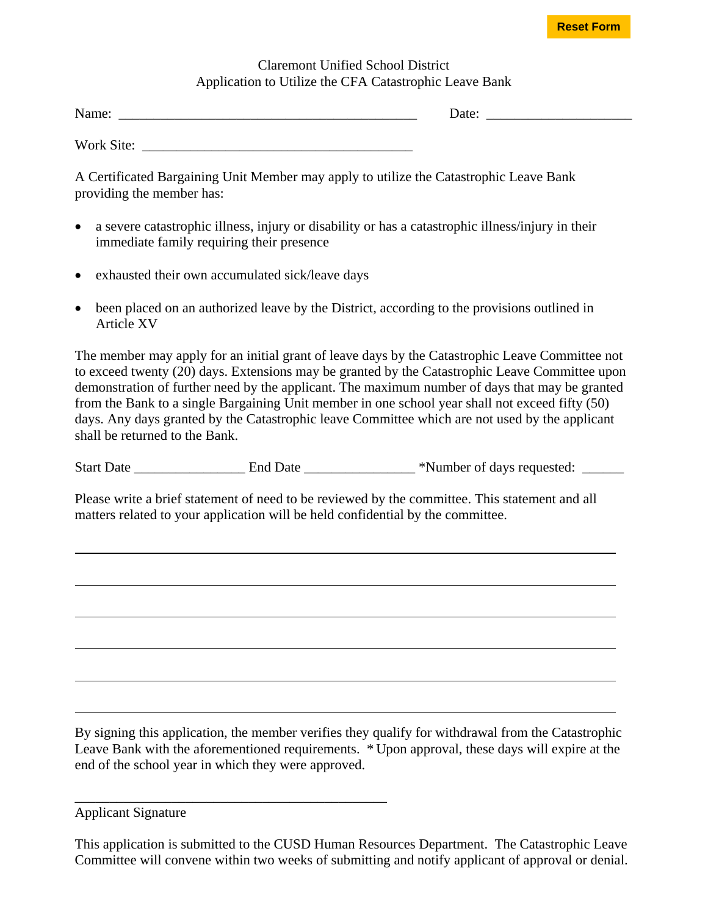## **Reset Form**

## Claremont Unified School District Application to Utilize the CFA Catastrophic Leave Bank

| NT.<br>10.3228<br>Name: | Date:<br>. |  |
|-------------------------|------------|--|
|                         |            |  |

Work Site:

A Certificated Bargaining Unit Member may apply to utilize the Catastrophic Leave Bank providing the member has:

- a severe catastrophic illness, injury or disability or has a catastrophic illness/injury in their immediate family requiring their presence
- exhausted their own accumulated sick/leave days
- been placed on an authorized leave by the District, according to the provisions outlined in Article XV

The member may apply for an initial grant of leave days by the Catastrophic Leave Committee not to exceed twenty (20) days. Extensions may be granted by the Catastrophic Leave Committee upon demonstration of further need by the applicant. The maximum number of days that may be granted from the Bank to a single Bargaining Unit member in one school year shall not exceed fifty (50) days. Any days granted by the Catastrophic leave Committee which are not used by the applicant shall be returned to the Bank.

Start Date \_\_\_\_\_\_\_\_\_\_\_\_\_\_\_\_\_\_\_\_ End Date \_\_\_\_\_\_\_\_\_\_\_\_\_ \*Number of days requested: \_\_\_\_\_\_

Please write a brief statement of need to be reviewed by the committee. This statement and all matters related to your application will be held confidential by the committee.

By signing this application, the member verifies they qualify for withdrawal from the Catastrophic Leave Bank with the aforementioned requirements. \* Upon approval, these days will expire at the end of the school year in which they were approved.

Applicant Signature

\_\_\_\_\_\_\_\_\_\_\_\_\_\_\_\_\_\_\_\_\_\_\_\_\_\_\_\_\_\_\_\_\_\_\_\_\_\_\_\_\_\_\_\_\_

 $\overline{a}$ 

 $\overline{a}$ 

This application is submitted to the CUSD Human Resources Department. The Catastrophic Leave Committee will convene within two weeks of submitting and notify applicant of approval or denial.